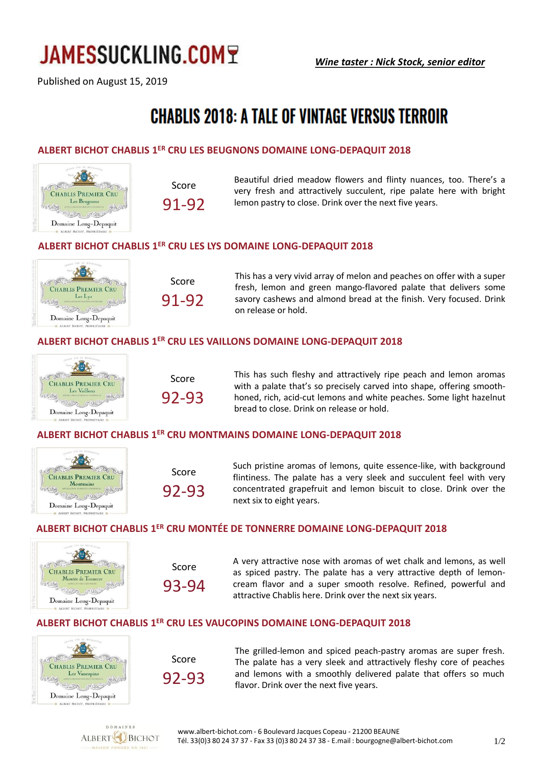# **JAMESSUCKLING.COM7**

Published on August 15, 2019

# **CHABLIS 2018: A TALE OF VINTAGE VERSUS TERROIR**

# **ALBERT BICHOT CHABLIS 1 ER CRU LES BEUGNONS DOMAINE LONG-DEPAQUIT 2018**



$$
\begin{array}{c}\text{Score} \\ \text{91-92} \end{array}
$$

Beautiful dried meadow flowers and flinty nuances, too. There's a very fresh and attractively succulent, ripe palate here with bright lemon pastry to close. Drink over the next five years.

## **ALBERT BICHOT CHABLIS 1 ER CRU LES LYS DOMAINE LONG-DEPAQUIT 2018**



Score 91-92 This has a very vivid array of melon and peaches on offer with a super fresh, lemon and green mango-flavored palate that delivers some savory cashews and almond bread at the finish. Very focused. Drink on release or hold.

## **ALBERT BICHOT CHABLIS 1 ER CRU LES VAILLONS DOMAINE LONG-DEPAQUIT 2018**



| Score |  |
|-------|--|
| 92-93 |  |

This has such fleshy and attractively ripe peach and lemon aromas with a palate that's so precisely carved into shape, offering smoothhoned, rich, acid-cut lemons and white peaches. Some light hazelnut bread to close. Drink on release or hold.

### **ALBERT BICHOT CHABLIS 1 ER CRU MONTMAINS DOMAINE LONG-DEPAQUIT 2018**



| Score |       |
|-------|-------|
|       | 92-93 |

Such pristine aromas of lemons, quite essence-like, with background flintiness. The palate has a very sleek and succulent feel with very concentrated grapefruit and lemon biscuit to close. Drink over the next six to eight years.

## **ALBERT BICHOT CHABLIS 1 ER CRU MONTÉE DE TONNERRE DOMAINE LONG-DEPAQUIT 2018**



Score 93-94 A very attractive nose with aromas of wet chalk and lemons, as well as spiced pastry. The palate has a very attractive depth of lemoncream flavor and a super smooth resolve. Refined, powerful and attractive Chablis here. Drink over the next six years.

## **ALBERT BICHOT CHABLIS 1 ER CRU LES VAUCOPINS DOMAINE LONG-DEPAQUIT 2018**



Score 92-93 The grilled-lemon and spiced peach-pastry aromas are super fresh. The palate has a very sleek and attractively fleshy core of peaches and lemons with a smoothly delivered palate that offers so much flavor. Drink over the next five years.